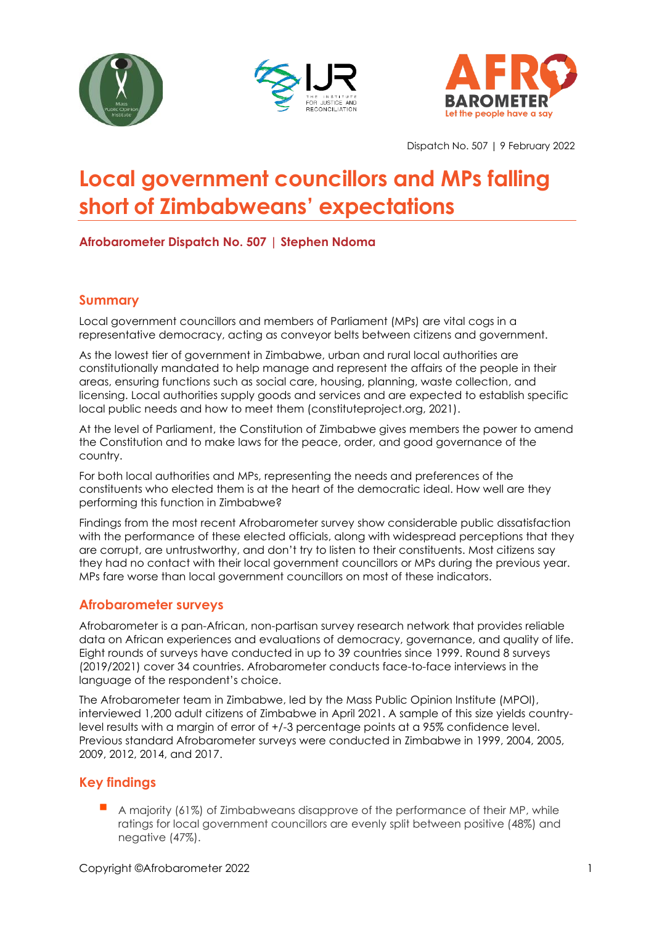





Dispatch No. 507 | 9 February 2022

# **Local government councillors and MPs falling short of Zimbabweans' expectations**

**Afrobarometer Dispatch No. 507 | Stephen Ndoma** 

# **Summary**

Local government councillors and members of Parliament (MPs) are vital cogs in a representative democracy, acting as conveyor belts between citizens and government.

As the lowest tier of government in Zimbabwe, urban and rural local authorities are constitutionally mandated to help manage and represent the affairs of the people in their areas, ensuring functions such as social care, housing, planning, waste collection, and licensing. Local authorities supply goods and services and are expected to establish specific local public needs and how to meet them (constituteproject.org, 2021).

At the level of Parliament, the Constitution of Zimbabwe gives members the power to amend the Constitution and to make laws for the peace, order, and good governance of the country.

For both local authorities and MPs, representing the needs and preferences of the constituents who elected them is at the heart of the democratic ideal. How well are they performing this function in Zimbabwe?

Findings from the most recent Afrobarometer survey show considerable public dissatisfaction with the performance of these elected officials, along with widespread perceptions that they are corrupt, are untrustworthy, and don't try to listen to their constituents. Most citizens say they had no contact with their local government councillors or MPs during the previous year. MPs fare worse than local government councillors on most of these indicators.

# **Afrobarometer surveys**

Afrobarometer is a pan-African, non-partisan survey research network that provides reliable data on African experiences and evaluations of democracy, governance, and quality of life. Eight rounds of surveys have conducted in up to 39 countries since 1999. Round 8 surveys (2019/2021) cover 34 countries. Afrobarometer conducts face-to-face interviews in the language of the respondent's choice.

The Afrobarometer team in Zimbabwe, led by the Mass Public Opinion Institute (MPOI), interviewed 1,200 adult citizens of Zimbabwe in April 2021. A sample of this size yields countrylevel results with a margin of error of +/-3 percentage points at a 95% confidence level. Previous standard Afrobarometer surveys were conducted in Zimbabwe in 1999, 2004, 2005, 2009, 2012, 2014, and 2017.

# **Key findings**

A majority (61%) of Zimbabweans disapprove of the performance of their MP, while ratings for local government councillors are evenly split between positive (48%) and negative (47%).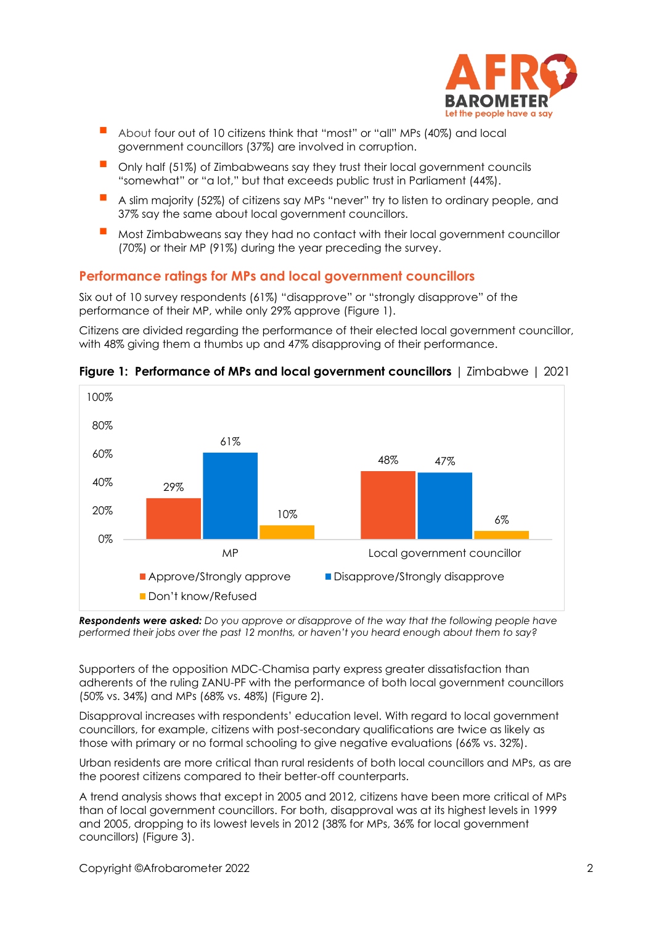

- About four out of 10 citizens think that "most" or "all" MPs (40%) and local government councillors (37%) are involved in corruption.
- Only half (51%) of Zimbabweans say they trust their local government councils "somewhat" or "a lot," but that exceeds public trust in Parliament (44%).
- A slim majority (52%) of citizens say MPs "never" try to listen to ordinary people, and 37% say the same about local government councillors.
- Most Zimbabweans say they had no contact with their local government councillor (70%) or their MP (91%) during the year preceding the survey.

# **Performance ratings for MPs and local government councillors**

Six out of 10 survey respondents (61%) "disapprove" or "strongly disapprove" of the performance of their MP, while only 29% approve (Figure 1).

Citizens are divided regarding the performance of their elected local government councillor, with 48% giving them a thumbs up and 47% disapproving of their performance.



**Figure 1: Performance of MPs and local government councillors** | Zimbabwe | 2021

*Respondents were asked: Do you approve or disapprove of the way that the following people have*  performed their jobs over the past 12 months, or haven't you heard enough about them to say?

Supporters of the opposition MDC-Chamisa party express greater dissatisfaction than adherents of the ruling ZANU-PF with the performance of both local government councillors (50% vs. 34%) and MPs (68% vs. 48%) (Figure 2).

Disapproval increases with respondents' education level. With regard to local government councillors, for example, citizens with post-secondary qualifications are twice as likely as those with primary or no formal schooling to give negative evaluations (66% vs. 32%).

Urban residents are more critical than rural residents of both local councillors and MPs, as are the poorest citizens compared to their better-off counterparts.

A trend analysis shows that except in 2005 and 2012, citizens have been more critical of MPs than of local government councillors. For both, disapproval was at its highest levels in 1999 and 2005, dropping to its lowest levels in 2012 (38% for MPs, 36% for local government councillors) (Figure 3).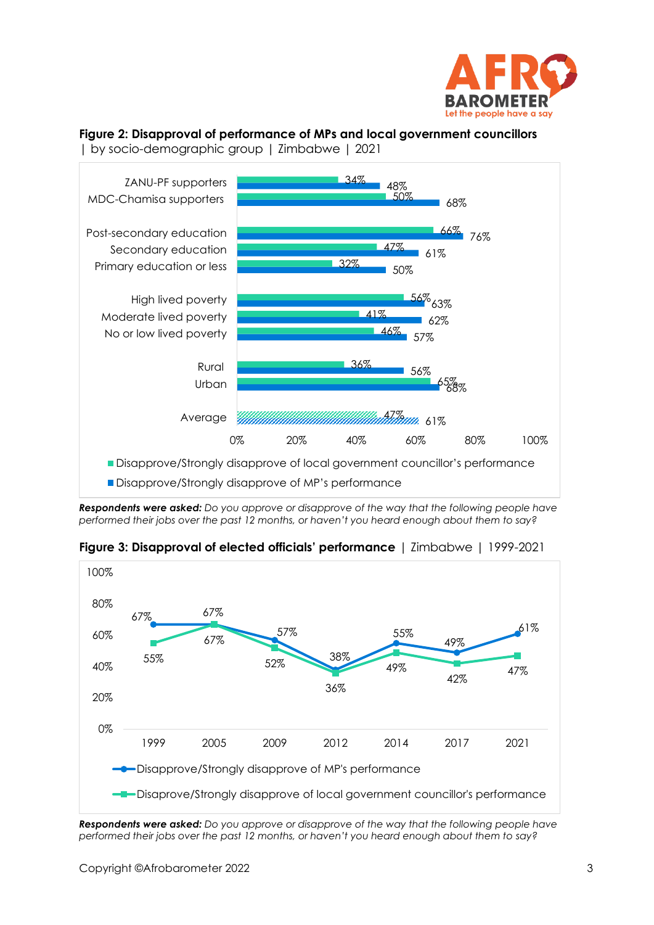

# **Figure 2: Disapproval of performance of MPs and local government councillors**



*Respondents were asked: Do you approve or disapprove of the way that the following people have performed their jobs over the past 12 months, or haven't you heard enough about them to say?*



**Figure 3: Disapproval of elected officials' performance** | Zimbabwe | 1999-2021

*Respondents were asked: Do you approve or disapprove of the way that the following people have*  performed their jobs over the past 12 months, or haven't you heard enough about them to say?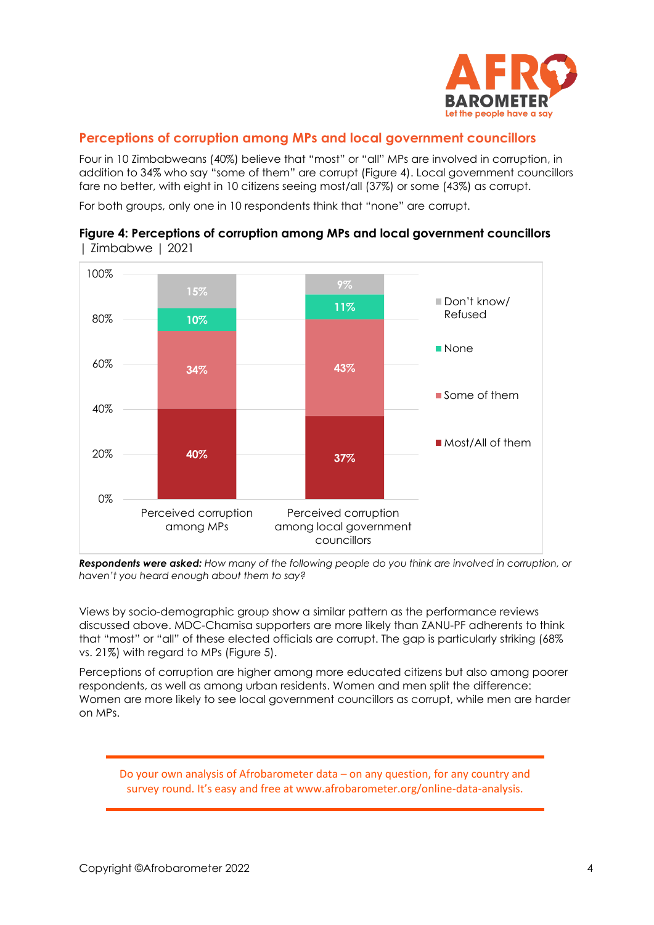

## **Perceptions of corruption among MPs and local government councillors**

Four in 10 Zimbabweans (40%) believe that "most" or "all" MPs are involved in corruption, in addition to 34% who say "some of them" are corrupt (Figure 4). Local government councillors fare no better, with eight in 10 citizens seeing most/all (37%) or some (43%) as corrupt.

For both groups, only one in 10 respondents think that "none" are corrupt.



### **Figure 4: Perceptions of corruption among MPs and local government councillors**  | Zimbabwe | 2021

*Respondents were asked: How many of the following people do you think are involved in corruption, or haven't you heard enough about them to say?*

Views by socio-demographic group show a similar pattern as the performance reviews discussed above. MDC-Chamisa supporters are more likely than ZANU-PF adherents to think that "most" or "all" of these elected officials are corrupt. The gap is particularly striking (68% vs. 21%) with regard to MPs (Figure 5).

Perceptions of corruption are higher among more educated citizens but also among poorer respondents, as well as among urban residents. Women and men split the difference: Women are more likely to see local government councillors as corrupt, while men are harder on MPs.

Do your own analysis of Afrobarometer data – on any question, for any country and survey round. It's easy and free at www.afrobarometer.org/online-data-analysis.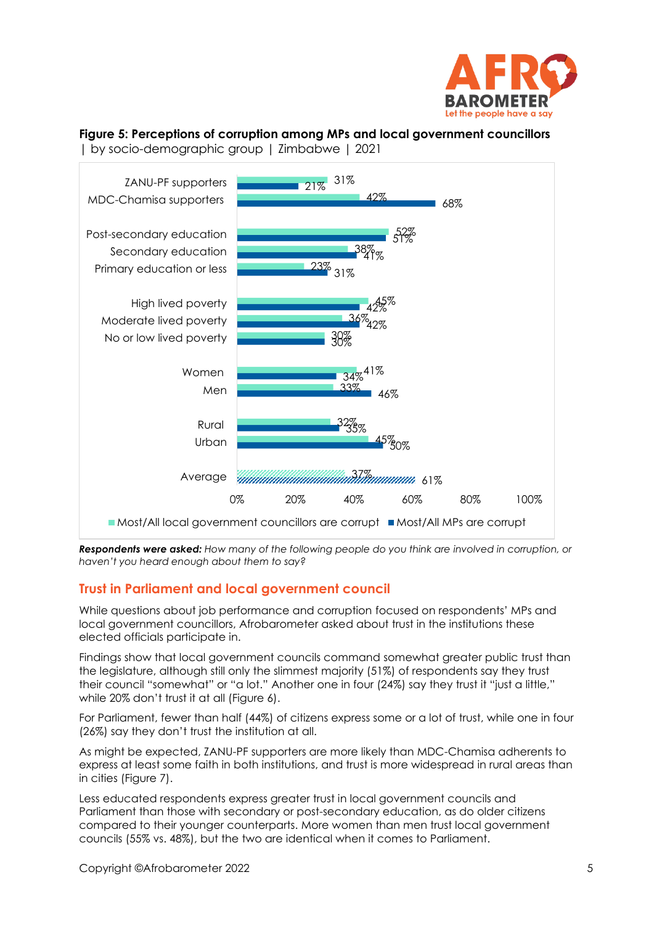

# **Figure 5: Perceptions of corruption among MPs and local government councillors**



| by socio-demographic group | Zimbabwe | 2021

*Respondents were asked: How many of the following people do you think are involved in corruption, or haven't you heard enough about them to say?*

# **Trust in Parliament and local government council**

While questions about job performance and corruption focused on respondents' MPs and local government councillors, Afrobarometer asked about trust in the institutions these elected officials participate in.

Findings show that local government councils command somewhat greater public trust than the legislature, although still only the slimmest majority (51%) of respondents say they trust their council "somewhat" or "a lot." Another one in four (24%) say they trust it "just a little," while 20% don't trust it at all (Figure 6).

For Parliament, fewer than half (44%) of citizens express some or a lot of trust, while one in four (26%) say they don't trust the institution at all.

As might be expected, ZANU-PF supporters are more likely than MDC-Chamisa adherents to express at least some faith in both institutions, and trust is more widespread in rural areas than in cities (Figure 7).

Less educated respondents express greater trust in local government councils and Parliament than those with secondary or post-secondary education, as do older citizens compared to their younger counterparts. More women than men trust local government councils (55% vs. 48%), but the two are identical when it comes to Parliament.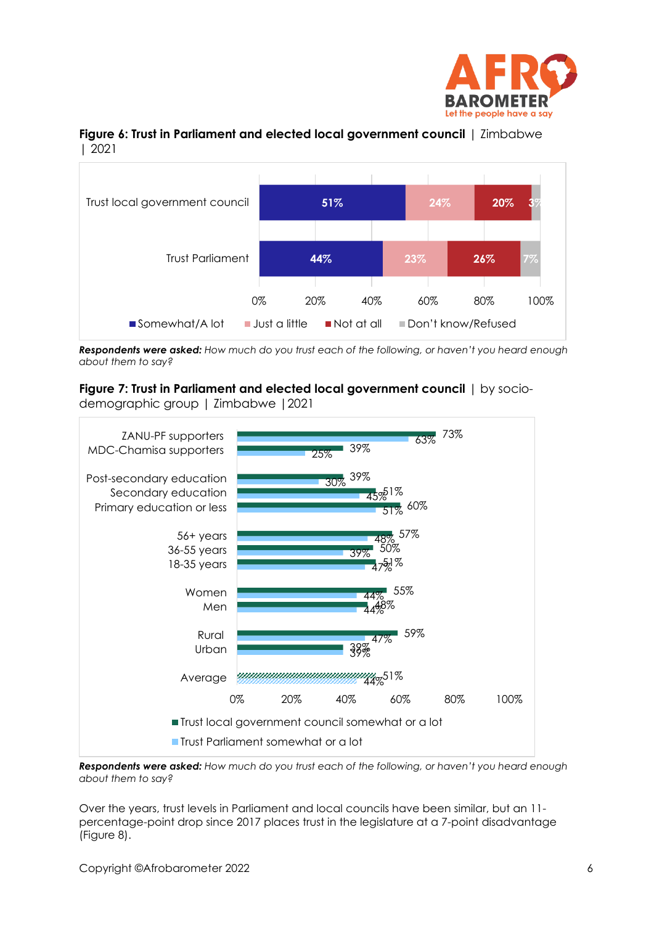



## **Figure 6: Trust in Parliament and elected local government council** | Zimbabwe | 2021

**Respondents were asked:** How much do you trust each of the following, or haven't you heard enough *about them to say?*

**Figure 7: Trust in Parliament and elected local government council** | by sociodemographic group | Zimbabwe |2021



*Respondents were asked: How much do you trust each of the following, or haven't you heard enough about them to say?*

Over the years, trust levels in Parliament and local councils have been similar, but an 11 percentage-point drop since 2017 places trust in the legislature at a 7-point disadvantage (Figure 8).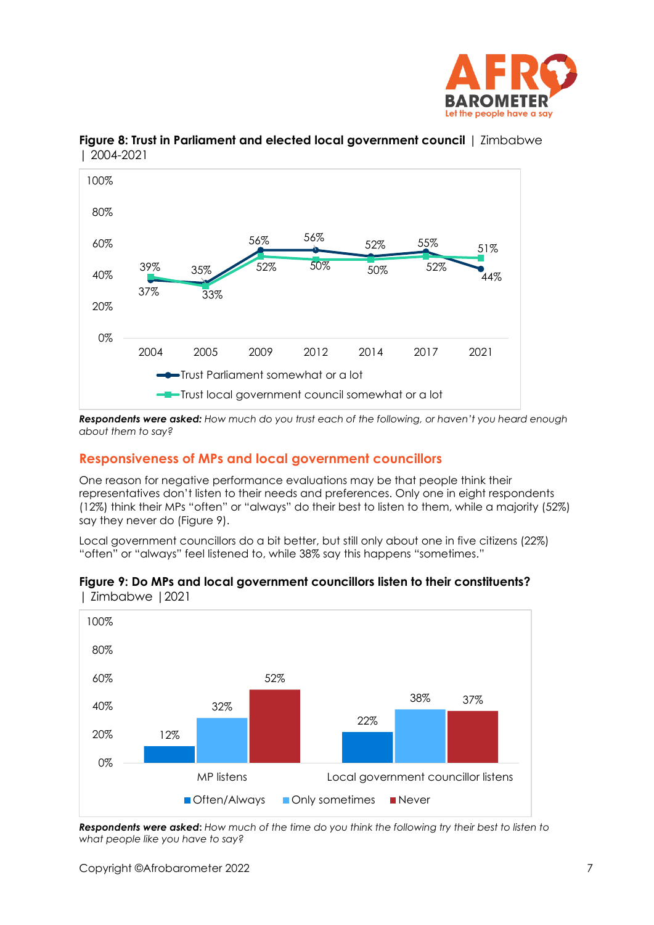





*Respondents were asked: How much do you trust each of the following, or haven't you heard enough about them to say?*

## **Responsiveness of MPs and local government councillors**

One reason for negative performance evaluations may be that people think their representatives don't listen to their needs and preferences. Only one in eight respondents (12%) think their MPs "often" or "always" do their best to listen to them, while a majority (52%) say they never do (Figure 9).

Local government councillors do a bit better, but still only about one in five citizens (22%) "often" or "always" feel listened to, while 38% say this happens "sometimes."



#### **Figure 9: Do MPs and local government councillors listen to their constituents?**  | Zimbabwe |2021

*Respondents were asked***:** *How much of the time do you think the following try their best to listen to what people like you have to say?*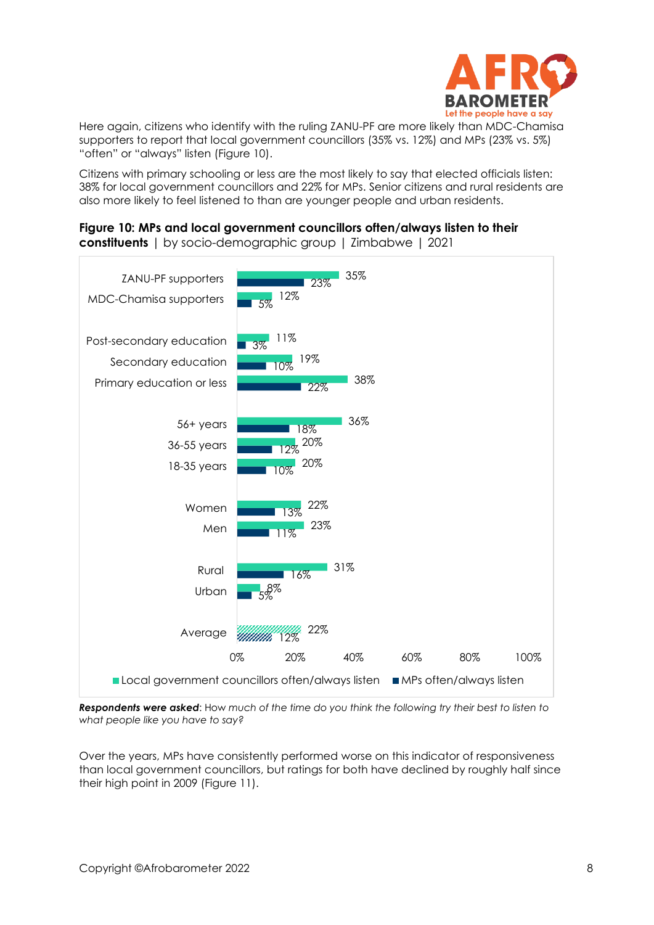

Here again, citizens who identify with the ruling ZANU-PF are more likely than MDC-Chamisa supporters to report that local government councillors (35% vs. 12%) and MPs (23% vs. 5%) "often" or "always" listen (Figure 10).

Citizens with primary schooling or less are the most likely to say that elected officials listen: 38% for local government councillors and 22% for MPs. Senior citizens and rural residents are also more likely to feel listened to than are younger people and urban residents.

# **Figure 10: MPs and local government councillors often/always listen to their**

**constituents** | by socio-demographic group | Zimbabwe | 2021



*Respondents were asked*: How *much of the time do you think the following try their best to listen to what people like you have to say?*

Over the years, MPs have consistently performed worse on this indicator of responsiveness than local government councillors, but ratings for both have declined by roughly half since their high point in 2009 (Figure 11).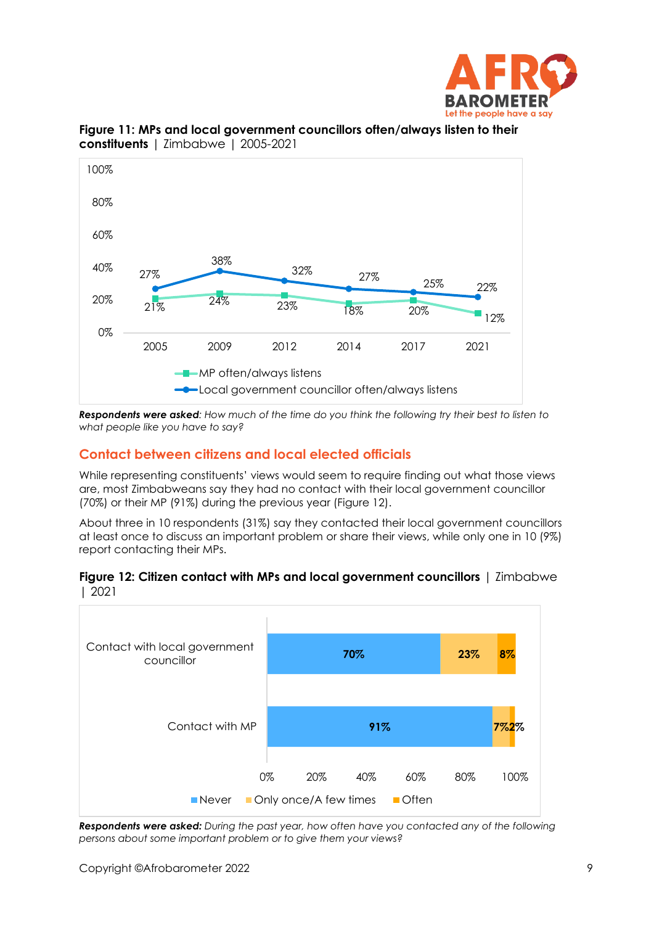



**Figure 11: MPs and local government councillors often/always listen to their constituents** | Zimbabwe | 2005-2021

*Respondents were asked: How much of the time do you think the following try their best to listen to what people like you have to say?*

# **Contact between citizens and local elected officials**

While representing constituents' views would seem to require finding out what those views are, most Zimbabweans say they had no contact with their local government councillor (70%) or their MP (91%) during the previous year (Figure 12).

About three in 10 respondents (31%) say they contacted their local government councillors at least once to discuss an important problem or share their views, while only one in 10 (9%) report contacting their MPs.





*Respondents were asked: During the past year, how often have you contacted any of the following persons about some important problem or to give them your views?*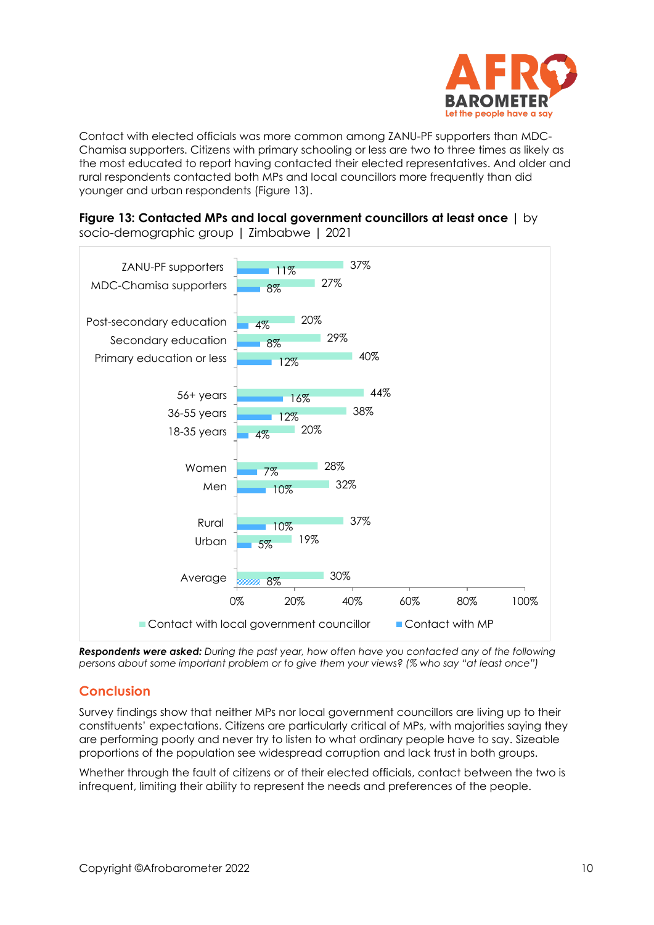

Contact with elected officials was more common among ZANU-PF supporters than MDC-Chamisa supporters. Citizens with primary schooling or less are two to three times as likely as the most educated to report having contacted their elected representatives. And older and rural respondents contacted both MPs and local councillors more frequently than did younger and urban respondents (Figure 13).



**Figure 13: Contacted MPs and local government councillors at least once** | by socio-demographic group | Zimbabwe | 2021

*Respondents were asked: During the past year, how often have you contacted any of the following persons about some important problem or to give them your views? (% who say "at least once")*

# **Conclusion**

Survey findings show that neither MPs nor local government councillors are living up to their constituents' expectations. Citizens are particularly critical of MPs, with majorities saying they are performing poorly and never try to listen to what ordinary people have to say. Sizeable proportions of the population see widespread corruption and lack trust in both groups.

Whether through the fault of citizens or of their elected officials, contact between the two is infrequent, limiting their ability to represent the needs and preferences of the people.